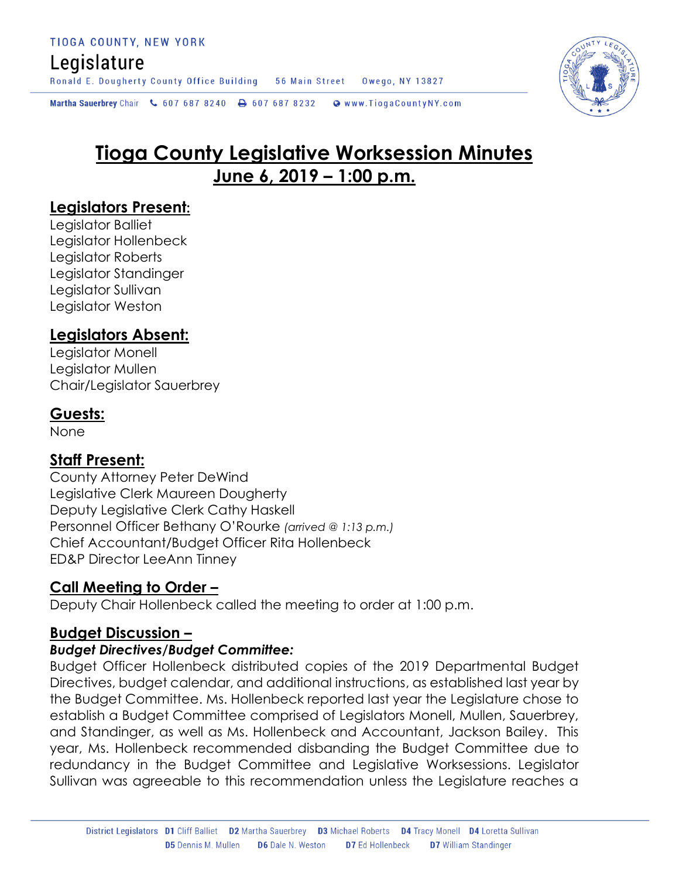## Legislature

Ronald E. Dougherty County Office Building 56 Main Street Owego, NY 13827

Martha Sauerbrey Chair & 607 687 8240 A 607 687 8232 Www.TiogaCountyNY.com



# **Tioga County Legislative Worksession Minutes June 6, 2019 – 1:00 p.m.**

## **Legislators Present:**

Legislator Balliet Legislator Hollenbeck Legislator Roberts Legislator Standinger Legislator Sullivan Legislator Weston

## **Legislators Absent:**

Legislator Monell Legislator Mullen Chair/Legislator Sauerbrey

## **Guests:**

None

## **Staff Present:**

County Attorney Peter DeWind Legislative Clerk Maureen Dougherty Deputy Legislative Clerk Cathy Haskell Personnel Officer Bethany O'Rourke *(arrived @ 1:13 p.m.)* Chief Accountant/Budget Officer Rita Hollenbeck ED&P Director LeeAnn Tinney

## **Call Meeting to Order –**

Deputy Chair Hollenbeck called the meeting to order at 1:00 p.m.

## **Budget Discussion –**

### *Budget Directives/Budget Committee:*

Budget Officer Hollenbeck distributed copies of the 2019 Departmental Budget Directives, budget calendar, and additional instructions, as established last year by the Budget Committee. Ms. Hollenbeck reported last year the Legislature chose to establish a Budget Committee comprised of Legislators Monell, Mullen, Sauerbrey, and Standinger, as well as Ms. Hollenbeck and Accountant, Jackson Bailey. This year, Ms. Hollenbeck recommended disbanding the Budget Committee due to redundancy in the Budget Committee and Legislative Worksessions. Legislator Sullivan was agreeable to this recommendation unless the Legislature reaches a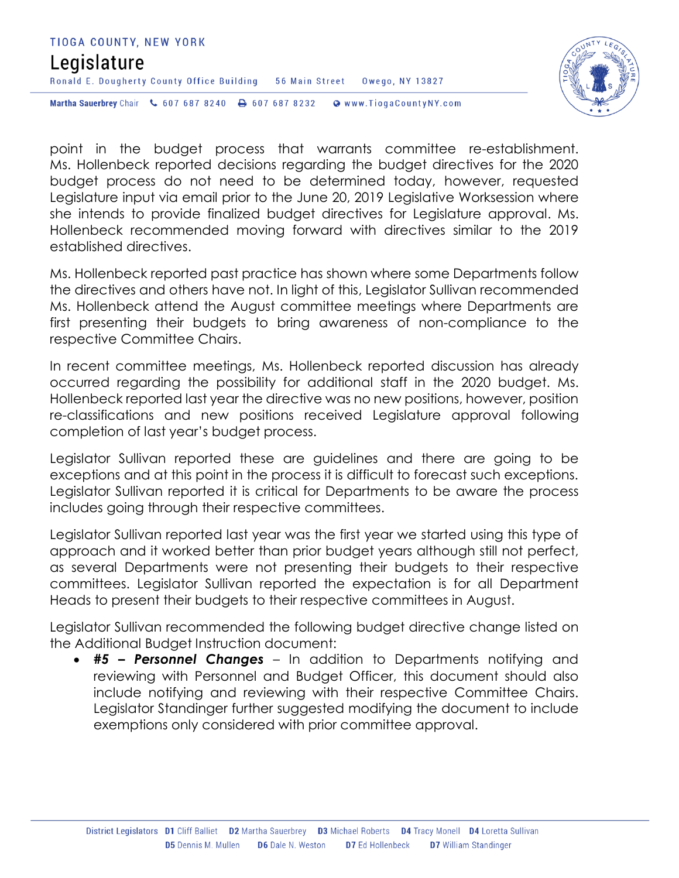#### TIOGA COUNTY, NEW YORK

## Legislature

Ronald E. Dougherty County Office Building 56 Main Street Owego, NY 13827

Martha Sauerbrey Chair & 607 687 8240 <a>B</a>607 687 8232 <a>B</a>Www.TiogaCountyNY.com

point in the budget process that warrants committee re-establishment. Ms. Hollenbeck reported decisions regarding the budget directives for the 2020 budget process do not need to be determined today, however, requested Legislature input via email prior to the June 20, 2019 Legislative Worksession where she intends to provide finalized budget directives for Legislature approval. Ms. Hollenbeck recommended moving forward with directives similar to the 2019 established directives.

Ms. Hollenbeck reported past practice has shown where some Departments follow the directives and others have not. In light of this, Legislator Sullivan recommended Ms. Hollenbeck attend the August committee meetings where Departments are first presenting their budgets to bring awareness of non-compliance to the respective Committee Chairs.

In recent committee meetings, Ms. Hollenbeck reported discussion has already occurred regarding the possibility for additional staff in the 2020 budget. Ms. Hollenbeck reported last year the directive was no new positions, however, position re-classifications and new positions received Legislature approval following completion of last year's budget process.

Legislator Sullivan reported these are guidelines and there are going to be exceptions and at this point in the process it is difficult to forecast such exceptions. Legislator Sullivan reported it is critical for Departments to be aware the process includes going through their respective committees.

Legislator Sullivan reported last year was the first year we started using this type of approach and it worked better than prior budget years although still not perfect, as several Departments were not presenting their budgets to their respective committees. Legislator Sullivan reported the expectation is for all Department Heads to present their budgets to their respective committees in August.

Legislator Sullivan recommended the following budget directive change listed on the Additional Budget Instruction document:

 *#5 – Personnel Changes* – In addition to Departments notifying and reviewing with Personnel and Budget Officer, this document should also include notifying and reviewing with their respective Committee Chairs. Legislator Standinger further suggested modifying the document to include exemptions only considered with prior committee approval.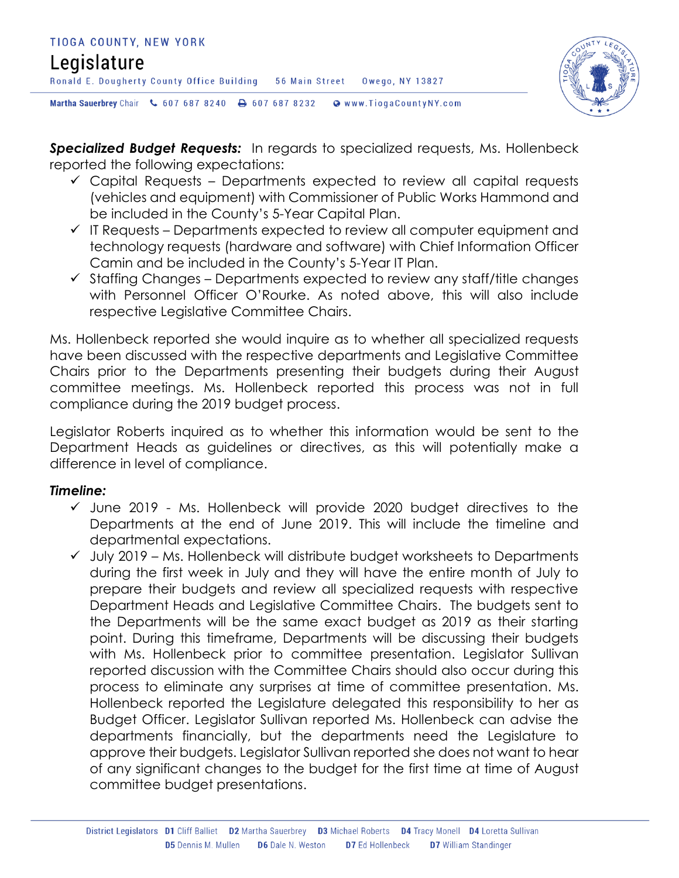



*Specialized Budget Requests:* In regards to specialized requests, Ms. Hollenbeck reported the following expectations:

- $\checkmark$  Capital Requests Departments expected to review all capital requests (vehicles and equipment) with Commissioner of Public Works Hammond and be included in the County's 5-Year Capital Plan.
- $\checkmark$  IT Requests Departments expected to review all computer equipment and technology requests (hardware and software) with Chief Information Officer Camin and be included in the County's 5-Year IT Plan.
- $\checkmark$  Staffing Changes Departments expected to review any staff/title changes with Personnel Officer O'Rourke. As noted above, this will also include respective Legislative Committee Chairs.

Ms. Hollenbeck reported she would inquire as to whether all specialized requests have been discussed with the respective departments and Legislative Committee Chairs prior to the Departments presenting their budgets during their August committee meetings. Ms. Hollenbeck reported this process was not in full compliance during the 2019 budget process.

Legislator Roberts inquired as to whether this information would be sent to the Department Heads as guidelines or directives, as this will potentially make a difference in level of compliance.

### *Timeline:*

- $\checkmark$  June 2019 Ms. Hollenbeck will provide 2020 budget directives to the Departments at the end of June 2019. This will include the timeline and departmental expectations.
- $\checkmark$  July 2019 Ms. Hollenbeck will distribute budget worksheets to Departments during the first week in July and they will have the entire month of July to prepare their budgets and review all specialized requests with respective Department Heads and Legislative Committee Chairs. The budgets sent to the Departments will be the same exact budget as 2019 as their starting point. During this timeframe, Departments will be discussing their budgets with Ms. Hollenbeck prior to committee presentation. Legislator Sullivan reported discussion with the Committee Chairs should also occur during this process to eliminate any surprises at time of committee presentation. Ms. Hollenbeck reported the Legislature delegated this responsibility to her as Budget Officer. Legislator Sullivan reported Ms. Hollenbeck can advise the departments financially, but the departments need the Legislature to approve their budgets. Legislator Sullivan reported she does not want to hear of any significant changes to the budget for the first time at time of August committee budget presentations.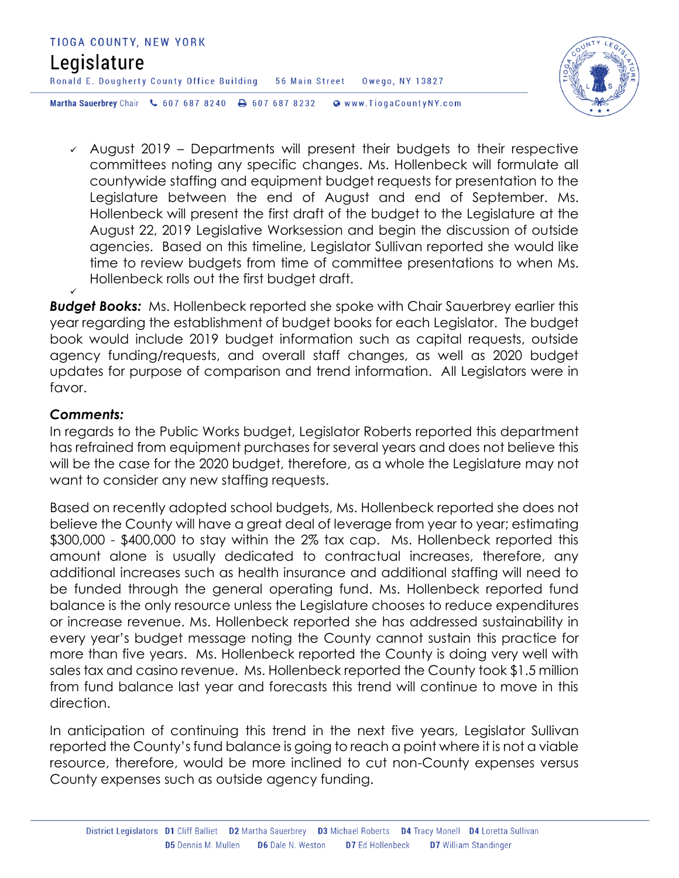



 $\sim$  August 2019 – Departments will present their budgets to their respective committees noting any specific changes. Ms. Hollenbeck will formulate all countywide staffing and equipment budget requests for presentation to the Legislature between the end of August and end of September. Ms. Hollenbeck will present the first draft of the budget to the Legislature at the August 22, 2019 Legislative Worksession and begin the discussion of outside agencies. Based on this timeline, Legislator Sullivan reported she would like time to review budgets from time of committee presentations to when Ms. Hollenbeck rolls out the first budget draft.

*Budget Books:* Ms. Hollenbeck reported she spoke with Chair Sauerbrey earlier this year regarding the establishment of budget books for each Legislator. The budget book would include 2019 budget information such as capital requests, outside agency funding/requests, and overall staff changes, as well as 2020 budget updates for purpose of comparison and trend information. All Legislators were in favor.

#### *Comments:*

✓

In regards to the Public Works budget, Legislator Roberts reported this department has refrained from equipment purchases for several years and does not believe this will be the case for the 2020 budget, therefore, as a whole the Legislature may not want to consider any new staffing requests.

Based on recently adopted school budgets, Ms. Hollenbeck reported she does not believe the County will have a great deal of leverage from year to year; estimating \$300,000 - \$400,000 to stay within the 2% tax cap. Ms. Hollenbeck reported this amount alone is usually dedicated to contractual increases, therefore, any additional increases such as health insurance and additional staffing will need to be funded through the general operating fund. Ms. Hollenbeck reported fund balance is the only resource unless the Legislature chooses to reduce expenditures or increase revenue. Ms. Hollenbeck reported she has addressed sustainability in every year's budget message noting the County cannot sustain this practice for more than five years. Ms. Hollenbeck reported the County is doing very well with sales tax and casino revenue. Ms. Hollenbeck reported the County took \$1.5 million from fund balance last year and forecasts this trend will continue to move in this direction.

In anticipation of continuing this trend in the next five years, Legislator Sullivan reported the County's fund balance is going to reach a point where it is not a viable resource, therefore, would be more inclined to cut non-County expenses versus County expenses such as outside agency funding.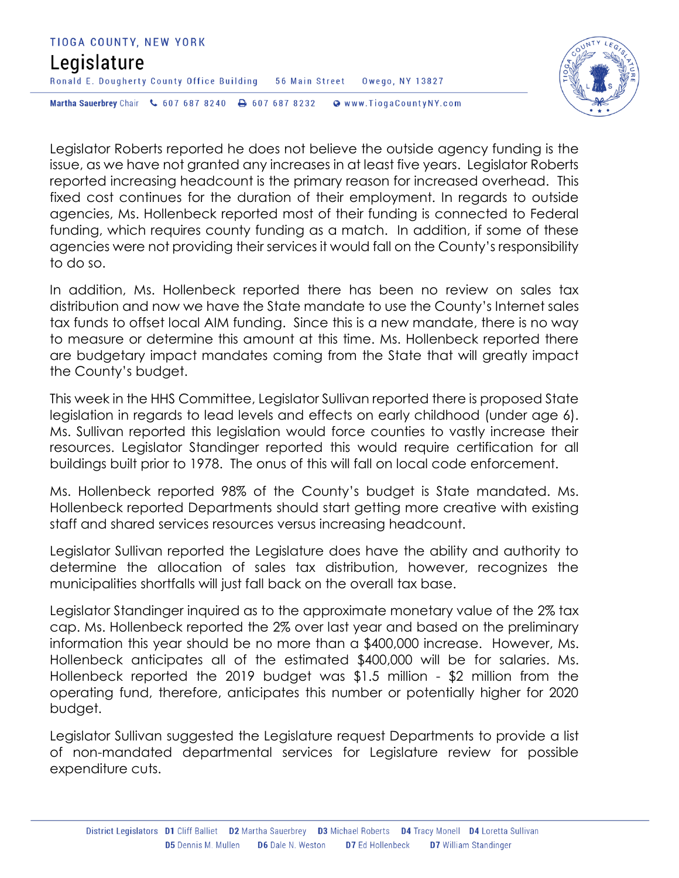### TIOGA COUNTY, NEW YORK Legislature Ronald E. Dougherty County Office Building 56 Main Street Owego, NY 13827 Martha Sauerbrey Chair & 607 687 8240 <a>B</a>607 687 8232 <a>B</a>Www.TiogaCountyNY.com



Legislator Roberts reported he does not believe the outside agency funding is the issue, as we have not granted any increases in at least five years. Legislator Roberts reported increasing headcount is the primary reason for increased overhead. This fixed cost continues for the duration of their employment. In regards to outside agencies, Ms. Hollenbeck reported most of their funding is connected to Federal funding, which requires county funding as a match. In addition, if some of these agencies were not providing their services it would fall on the County's responsibility to do so.

In addition, Ms. Hollenbeck reported there has been no review on sales tax distribution and now we have the State mandate to use the County's Internet sales tax funds to offset local AIM funding. Since this is a new mandate, there is no way to measure or determine this amount at this time. Ms. Hollenbeck reported there are budgetary impact mandates coming from the State that will greatly impact the County's budget.

This week in the HHS Committee, Legislator Sullivan reported there is proposed State legislation in regards to lead levels and effects on early childhood (under age 6). Ms. Sullivan reported this legislation would force counties to vastly increase their resources. Legislator Standinger reported this would require certification for all buildings built prior to 1978. The onus of this will fall on local code enforcement.

Ms. Hollenbeck reported 98% of the County's budget is State mandated. Ms. Hollenbeck reported Departments should start getting more creative with existing staff and shared services resources versus increasing headcount.

Legislator Sullivan reported the Legislature does have the ability and authority to determine the allocation of sales tax distribution, however, recognizes the municipalities shortfalls will just fall back on the overall tax base.

Legislator Standinger inquired as to the approximate monetary value of the 2% tax cap. Ms. Hollenbeck reported the 2% over last year and based on the preliminary information this year should be no more than a \$400,000 increase. However, Ms. Hollenbeck anticipates all of the estimated \$400,000 will be for salaries. Ms. Hollenbeck reported the 2019 budget was \$1.5 million - \$2 million from the operating fund, therefore, anticipates this number or potentially higher for 2020 budget.

Legislator Sullivan suggested the Legislature request Departments to provide a list of non-mandated departmental services for Legislature review for possible expenditure cuts.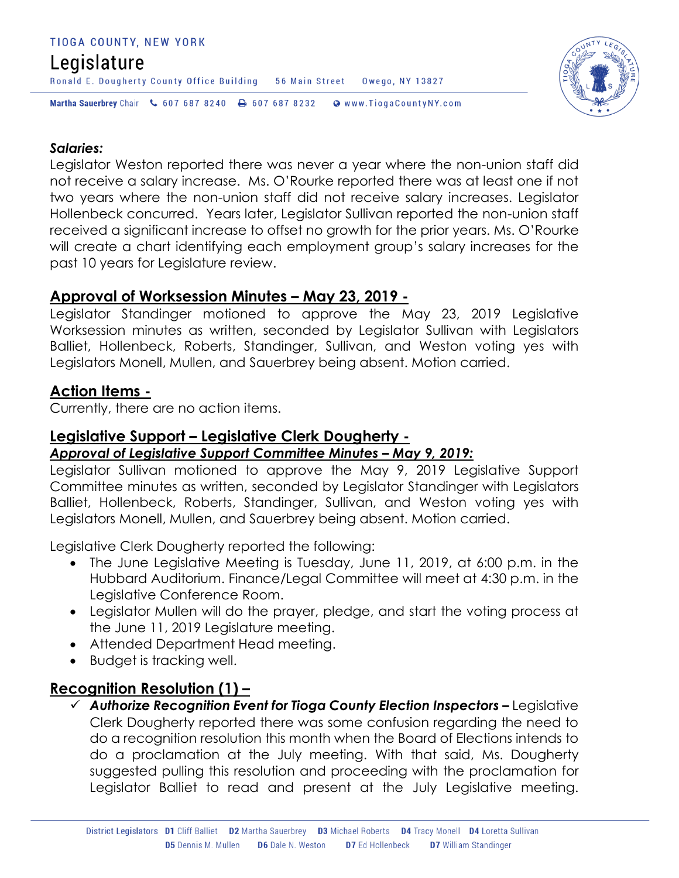#### TIOGA COUNTY, NEW YORK

## Legislature

Ronald E. Dougherty County Office Building 56 Main Street 0wego, NY 13827

Martha Sauerbrey Chair & 607 687 8240 <a>B</a>607 687 8232 <a>B</a>Www.TiogaCountyNY.com



#### *Salaries:*

Legislator Weston reported there was never a year where the non-union staff did not receive a salary increase. Ms. O'Rourke reported there was at least one if not two years where the non-union staff did not receive salary increases. Legislator Hollenbeck concurred. Years later, Legislator Sullivan reported the non-union staff received a significant increase to offset no growth for the prior years. Ms. O'Rourke will create a chart identifying each employment group's salary increases for the past 10 years for Legislature review.

### **Approval of Worksession Minutes – May 23, 2019 -**

Legislator Standinger motioned to approve the May 23, 2019 Legislative Worksession minutes as written, seconded by Leaislator Sullivan with Leaislators Balliet, Hollenbeck, Roberts, Standinger, Sullivan, and Weston voting yes with Legislators Monell, Mullen, and Sauerbrey being absent. Motion carried.

### **Action Items -**

Currently, there are no action items.

## **Legislative Support – Legislative Clerk Dougherty -**

### *Approval of Legislative Support Committee Minutes – May 9, 2019:*

Legislator Sullivan motioned to approve the May 9, 2019 Legislative Support Committee minutes as written, seconded by Legislator Standinger with Legislators Balliet, Hollenbeck, Roberts, Standinger, Sullivan, and Weston voting yes with Legislators Monell, Mullen, and Sauerbrey being absent. Motion carried.

Legislative Clerk Dougherty reported the following:

- The June Legislative Meeting is Tuesday, June 11, 2019, at 6:00 p.m. in the Hubbard Auditorium. Finance/Legal Committee will meet at 4:30 p.m. in the Legislative Conference Room.
- Legislator Mullen will do the prayer, pledge, and start the voting process at the June 11, 2019 Legislature meeting.
- Attended Department Head meeting.
- Budget is tracking well.

## **Recognition Resolution (1) –**

 *Authorize Recognition Event for Tioga County Election Inspectors –* Legislative Clerk Dougherty reported there was some confusion regarding the need to do a recognition resolution this month when the Board of Elections intends to do a proclamation at the July meeting. With that said, Ms. Dougherty suggested pulling this resolution and proceeding with the proclamation for Legislator Balliet to read and present at the July Legislative meeting.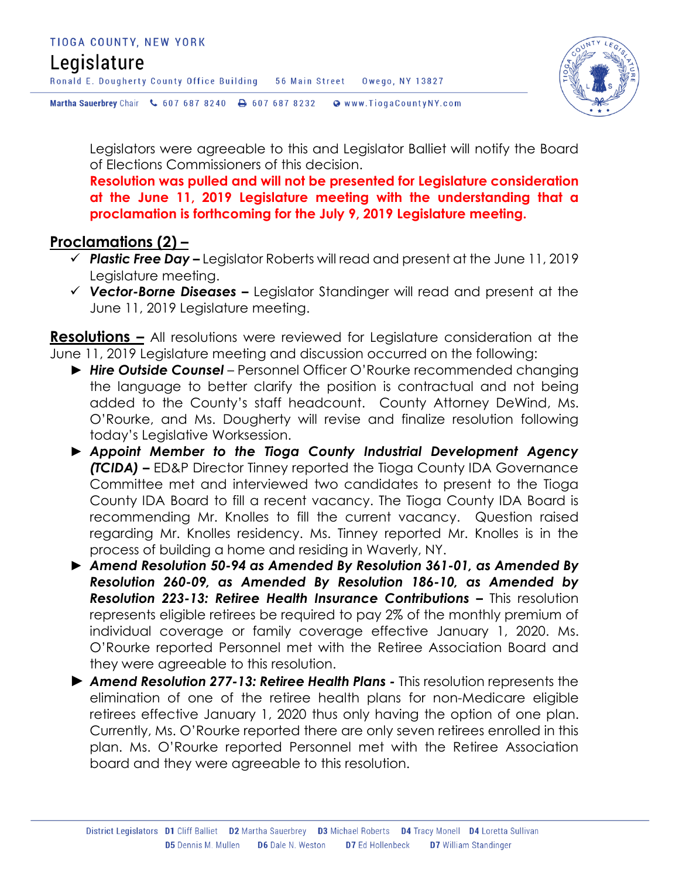## Legislature

Ronald E. Dougherty County Office Building 56 Main Street Owego, NY 13827

Martha Sauerbrey Chair & 607 687 8240 <a>B</a>607 687 8232 <a>B</a>Www.TiogaCountyNY.com



Legislators were agreeable to this and Legislator Balliet will notify the Board of Elections Commissioners of this decision.

**Resolution was pulled and will not be presented for Legislature consideration at the June 11, 2019 Legislature meeting with the understanding that a proclamation is forthcoming for the July 9, 2019 Legislature meeting.** 

## **Proclamations (2) –**

- *Plastic Free Day –* Legislator Roberts will read and present at the June 11, 2019 Legislature meeting.
- *Vector-Borne Diseases –* Legislator Standinger will read and present at the June 11, 2019 Legislature meeting.

**Resolutions –** All resolutions were reviewed for Legislature consideration at the June 11, 2019 Legislature meeting and discussion occurred on the following:

- ► *Hire Outside Counsel* Personnel Officer O'Rourke recommended changing the language to better clarify the position is contractual and not being added to the County's staff headcount. County Attorney DeWind, Ms. O'Rourke, and Ms. Dougherty will revise and finalize resolution following today's Legislative Worksession.
- ► *Appoint Member to the Tioga County Industrial Development Agency (TCIDA) –* ED&P Director Tinney reported the Tioga County IDA Governance Committee met and interviewed two candidates to present to the Tioga County IDA Board to fill a recent vacancy. The Tioga County IDA Board is recommending Mr. Knolles to fill the current vacancy. Question raised regarding Mr. Knolles residency. Ms. Tinney reported Mr. Knolles is in the process of building a home and residing in Waverly, NY.
- ► *Amend Resolution 50-94 as Amended By Resolution 361-01, as Amended By Resolution 260-09, as Amended By Resolution 186-10, as Amended by*  **Resolution 223-13: Retiree Health Insurance Contributions - This resolution** represents eligible retirees be required to pay 2% of the monthly premium of individual coverage or family coverage effective January 1, 2020. Ms. O'Rourke reported Personnel met with the Retiree Association Board and they were agreeable to this resolution.
- ► *Amend Resolution 277-13: Retiree Health Plans -* This resolution represents the elimination of one of the retiree health plans for non-Medicare eligible retirees effective January 1, 2020 thus only having the option of one plan. Currently, Ms. O'Rourke reported there are only seven retirees enrolled in this plan. Ms. O'Rourke reported Personnel met with the Retiree Association board and they were agreeable to this resolution.